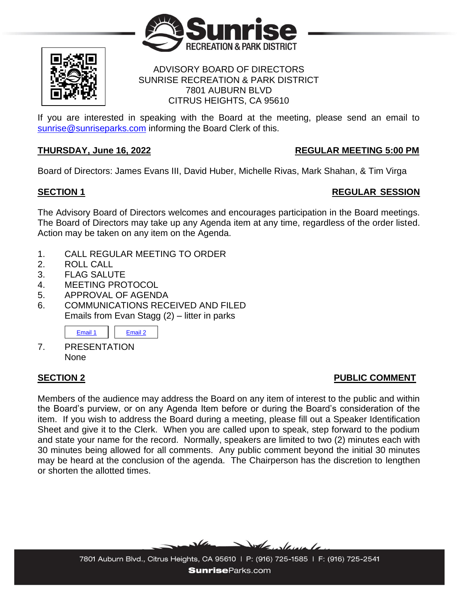



## ADVISORY BOARD OF DIRECTORS SUNRISE RECREATION & PARK DISTRICT 7801 AUBURN BLVD CITRUS HEIGHTS, CA 95610

If you are interested in speaking with the Board at the meeting, please send an email to [sunrise@sunriseparks.com](mailto:sunrise@sunriseparks.com) informing the Board Clerk of this.

## **THURSDAY, June 16, 2022 REGULAR MEETING 5:00 PM**

Board of Directors: James Evans III, David Huber, Michelle Rivas, Mark Shahan, & Tim Virga

# **SECTION 1** REGULAR SESSION

The Advisory Board of Directors welcomes and encourages participation in the Board meetings. The Board of Directors may take up any Agenda item at any time, regardless of the order listed. Action may be taken on any item on the Agenda.

- 1. CALL REGULAR MEETING TO ORDER
- 2. ROLL CALL
- 3. FLAG SALUTE
- 4. MEETING PROTOCOL
- 5. APPROVAL OF AGENDA
- 6. COMMUNICATIONS RECEIVED AND FILED Emails from Evan Stagg (2) – litter in parks



7. PRESENTATION None

# **SECTION 2 PUBLIC COMMENT**

Members of the audience may address the Board on any item of interest to the public and within the Board's purview, or on any Agenda Item before or during the Board's consideration of the item. If you wish to address the Board during a meeting, please fill out a Speaker Identification Sheet and give it to the Clerk. When you are called upon to speak, step forward to the podium and state your name for the record. Normally, speakers are limited to two (2) minutes each with 30 minutes being allowed for all comments. Any public comment beyond the initial 30 minutes may be heard at the conclusion of the agenda. The Chairperson has the discretion to lengthen or shorten the allotted times.



7801 Auburn Blvd., Citrus Heights, CA 95610 | P: (916) 725-1585 | F: (916) 725-2541 **SunriseParks.com**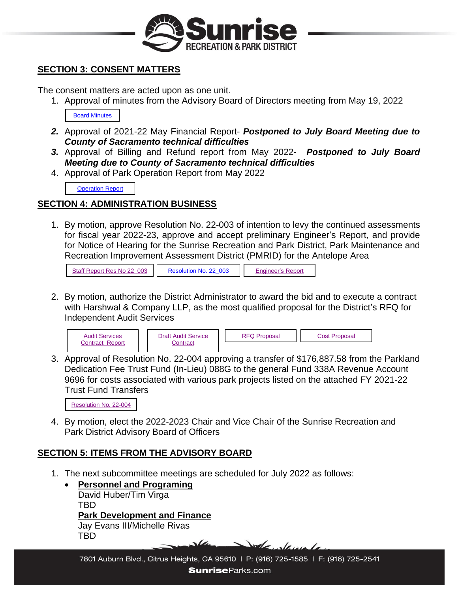

## **SECTION 3: CONSENT MATTERS**

The consent matters are acted upon as one unit.

1. Approval of minutes from the Advisory Board of Directors meeting from May 19, 2022

[Board Minutes](https://www.sunriseparks.com/files/8c9d9a135/Minutes+5-19-2022.pdf)

- *2.* Approval of 2021-22 May Financial Report- *Postponed to July Board Meeting due to County of Sacramento technical difficulties*
- *3.* Approval of Billing and Refund report from May 2022- *Postponed to July Board Meeting due to County of Sacramento technical difficulties*
- 4. Approval of Park Operation Report from May 2022

**[Operation](https://www.sunriseparks.com/files/f6e5de626/Operations+Report+June+2022.pdf) Report** 

## **SECTION 4: ADMINISTRATION BUSINESS**

1. By motion, approve Resolution No. 22-003 of intention to levy the continued assessments for fiscal year 2022-23, approve and accept preliminary Engineer's Report, and provide for Notice of Hearing for the Sunrise Recreation and Park District, Park Maintenance and Recreation Improvement Assessment District (PMRID) for the Antelope Area

| Staff Report Res No 22 003 | Resolution No. 22 003 | <b>Engineer's Report</b> |
|----------------------------|-----------------------|--------------------------|
|----------------------------|-----------------------|--------------------------|

2. By motion, authorize the District Administrator to award the bid and to execute a contract with Harshwal & Company LLP, as the most qualified proposal for the District's RFQ for Independent Audit Services



3. Approval of Resolution No. 22-004 approving a transfer of \$176,887.58 from the Parkland Dedication Fee Trust Fund (In-Lieu) 088G to the general Fund 338A Revenue Account 9696 for costs associated with various park projects listed on the attached FY 2021-22 Trust Fund Transfers

| Resolution No. 22-004 |
|-----------------------|
|-----------------------|

4. By motion, elect the 2022-2023 Chair and Vice Chair of the Sunrise Recreation and Park District Advisory Board of Officers

## **SECTION 5: ITEMS FROM THE ADVISORY BOARD**

- 1. The next subcommittee meetings are scheduled for July 2022 as follows:
	- **Personnel and Programing** David Huber/Tim Virga TBD **Park Development and Finance** Jay Evans III/Michelle Rivas TBD Dole deve